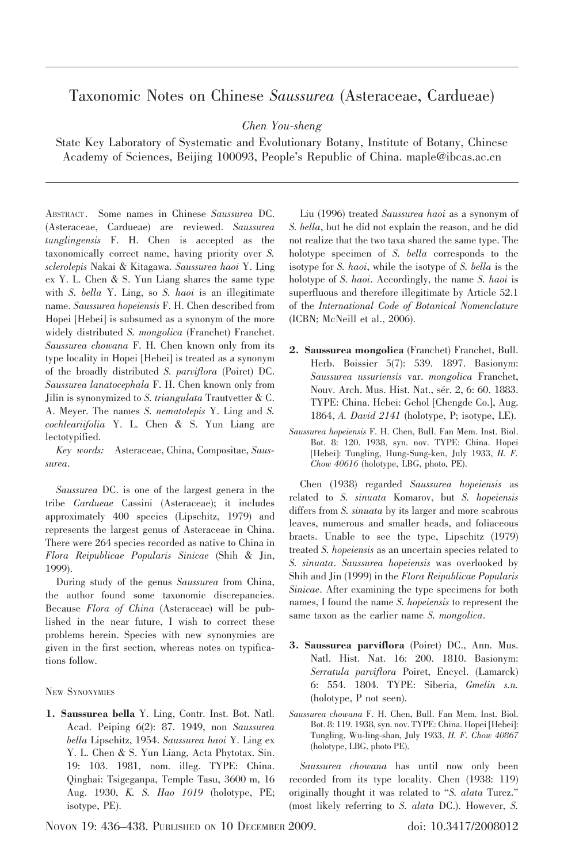## Taxonomic Notes on Chinese Saussurea (Asteraceae, Cardueae)

Chen You-sheng

State Key Laboratory of Systematic and Evolutionary Botany, Institute of Botany, Chinese Academy of Sciences, Beijing 100093, People's Republic of China. maple@ibcas.ac.cn

ABSTRACT. Some names in Chinese Saussurea DC. (Asteraceae, Cardueae) are reviewed. Saussurea tunglingensis F. H. Chen is accepted as the taxonomically correct name, having priority over S. sclerolepis Nakai & Kitagawa. Saussurea haoi Y. Ling ex Y. L. Chen & S. Yun Liang shares the same type with S. bella Y. Ling, so S. haoi is an illegitimate name. Saussurea hopeiensis F. H. Chen described from Hopei [Hebei] is subsumed as a synonym of the more widely distributed S. mongolica (Franchet) Franchet. Saussurea chowana F. H. Chen known only from its type locality in Hopei [Hebei] is treated as a synonym of the broadly distributed S. parviflora (Poiret) DC. Saussurea lanatocephala F. H. Chen known only from Jilin is synonymized to S. triangulata Trautvetter & C. A. Meyer. The names S. nematolepis Y. Ling and S. cochleariifolia Y. L. Chen & S. Yun Liang are lectotypified.

Key words: Asteraceae, China, Compositae, Saussurea.

Saussurea DC. is one of the largest genera in the tribe Cardueae Cassini (Asteraceae); it includes approximately 400 species (Lipschitz, 1979) and represents the largest genus of Asteraceae in China. There were 264 species recorded as native to China in Flora Reipublicae Popularis Sinicae (Shih & Jin, 1999).

During study of the genus Saussurea from China, the author found some taxonomic discrepancies. Because Flora of China (Asteraceae) will be published in the near future, I wish to correct these problems herein. Species with new synonymies are given in the first section, whereas notes on typifications follow.

NEW SYNONYMIES

1. Saussurea bella Y. Ling, Contr. Inst. Bot. Natl. Acad. Peiping 6(2): 87. 1949, non Saussurea bella Lipschitz, 1954. Saussurea haoi Y. Ling ex Y. L. Chen & S. Yun Liang, Acta Phytotax. Sin. 19: 103. 1981, nom. illeg. TYPE: China. Qinghai: Tsigeganpa, Temple Tasu, 3600 m, 16 Aug. 1930, K. S. Hao 1019 (holotype, PE; isotype, PE).

Liu (1996) treated Saussurea haoi as a synonym of S. bella, but he did not explain the reason, and he did not realize that the two taxa shared the same type. The holotype specimen of S. bella corresponds to the isotype for *S. haoi*, while the isotype of *S. bella* is the holotype of *S. haoi.* Accordingly, the name *S. haoi* is superfluous and therefore illegitimate by Article 52.1 of the International Code of Botanical Nomenclature (ICBN; McNeill et al., 2006).

- 2. Saussurea mongolica (Franchet) Franchet, Bull. Herb. Boissier 5(7): 539. 1897. Basionym: Saussurea ussuriensis var. mongolica Franchet, Nouv. Arch. Mus. Hist. Nat., sér. 2, 6: 60. 1883. TYPE: China. Hebei: Gehol [Chengde Co.], Aug. 1864, A. David 2141 (holotype, P; isotype, LE).
- Saussurea hopeiensis F. H. Chen, Bull. Fan Mem. Inst. Biol. Bot. 8: 120. 1938, syn. nov. TYPE: China. Hopei [Hebei]: Tungling, Hung-Sung-ken, July 1933, H. F. Chow 40616 (holotype, LBG, photo, PE).

Chen (1938) regarded Saussurea hopeiensis as related to S. sinuata Komarov, but S. hopeiensis differs from S. sinuata by its larger and more scabrous leaves, numerous and smaller heads, and foliaceous bracts. Unable to see the type, Lipschitz (1979) treated S. hopeiensis as an uncertain species related to S. sinuata. Saussurea hopeiensis was overlooked by Shih and Jin (1999) in the Flora Reipublicae Popularis Sinicae. After examining the type specimens for both names, I found the name S. hopeiensis to represent the same taxon as the earlier name S. mongolica.

- 3. Saussurea parviflora (Poiret) DC., Ann. Mus. Natl. Hist. Nat. 16: 200. 1810. Basionym: Serratula parviflora Poiret, Encycl. (Lamarck) 6: 554. 1804. TYPE: Siberia, Gmelin s.n. (holotype, P not seen).
- Saussurea chowana F. H. Chen, Bull. Fan Mem. Inst. Biol. Bot. 8: 119. 1938, syn. nov. TYPE: China. Hopei [Hebei]: Tungling, Wu-ling-shan, July 1933, H. F. Chow 40867 (holotype, LBG, photo PE).

Saussurea chowana has until now only been recorded from its type locality. Chen (1938: 119) originally thought it was related to ''S. alata Turcz.'' (most likely referring to S. alata DC.). However, S.

NOVON 19: 436–438. PUBLISHED ON 10 DECEMBER 2009. doi: 10.3417/2008012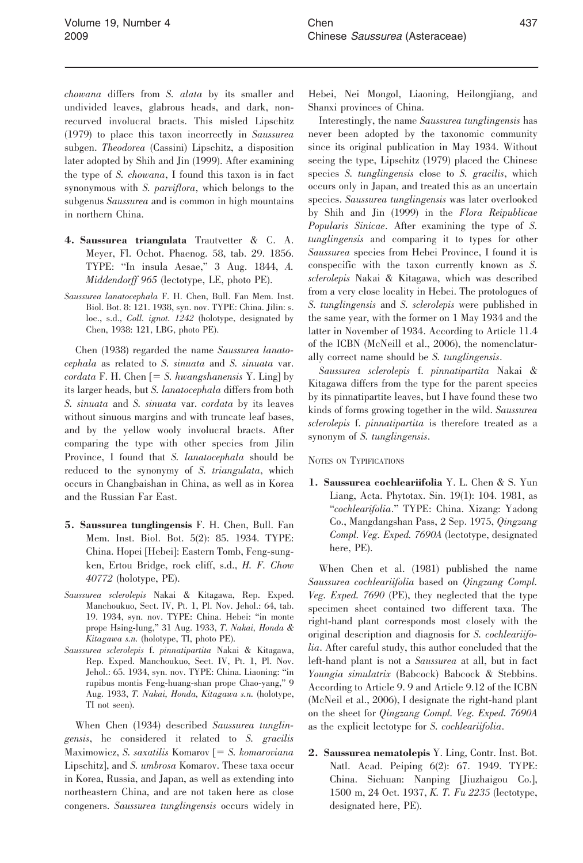chowana differs from S. alata by its smaller and undivided leaves, glabrous heads, and dark, nonrecurved involucral bracts. This misled Lipschitz (1979) to place this taxon incorrectly in Saussurea subgen. Theodorea (Cassini) Lipschitz, a disposition later adopted by Shih and Jin (1999). After examining the type of S. chowana, I found this taxon is in fact synonymous with S. parviflora, which belongs to the subgenus Saussurea and is common in high mountains in northern China.

- 4. Saussurea triangulata Trautvetter & C. A. Meyer, Fl. Ochot. Phaenog. 58, tab. 29. 1856. TYPE: ''In insula Aesae,'' 3 Aug. 1844, A. Middendorff 965 (lectotype, LE, photo PE).
- Saussurea lanatocephala F. H. Chen, Bull. Fan Mem. Inst. Biol. Bot. 8: 121. 1938, syn. nov. TYPE: China. Jilin: s. loc., s.d., Coll. ignot. 1242 (holotype, designated by Chen, 1938: 121, LBG, photo PE).

Chen (1938) regarded the name Saussurea lanatocephala as related to S. sinuata and S. sinuata var.  $cordata$  F. H. Chen  $= S.$  hwangshanensis Y. Ling] by its larger heads, but S. lanatocephala differs from both S. sinuata and S. sinuata var. cordata by its leaves without sinuous margins and with truncate leaf bases, and by the yellow wooly involucral bracts. After comparing the type with other species from Jilin Province, I found that S. lanatocephala should be reduced to the synonymy of S. triangulata, which occurs in Changbaishan in China, as well as in Korea and the Russian Far East.

- 5. Saussurea tunglingensis F. H. Chen, Bull. Fan Mem. Inst. Biol. Bot. 5(2): 85. 1934. TYPE: China. Hopei [Hebei]: Eastern Tomb, Feng-sungken, Ertou Bridge, rock cliff, s.d., H. F. Chow 40772 (holotype, PE).
- Saussurea sclerolepis Nakai & Kitagawa, Rep. Exped. Manchoukuo, Sect. IV, Pt. 1, Pl. Nov. Jehol.: 64, tab. 19. 1934, syn. nov. TYPE: China. Hebei: ''in monte prope Hsing-lung,'' 31 Aug. 1933, T. Nakai, Honda & Kitagawa s.n. (holotype, TI, photo PE).
- Saussurea sclerolepis f. pinnatipartita Nakai & Kitagawa, Rep. Exped. Manchoukuo, Sect. IV, Pt. 1, Pl. Nov. Jehol.: 65. 1934, syn. nov. TYPE: China. Liaoning: ''in rupibus montis Feng-huang-shan prope Chao-yang,'' 9 Aug. 1933, T. Nakai, Honda, Kitagawa s.n. (holotype, TI not seen).

When Chen (1934) described Saussurea tunglingensis, he considered it related to S. gracilis Maximowicz, S. saxatilis Komarov  $[= S.$  komaroviana Lipschitz], and S. umbrosa Komarov. These taxa occur in Korea, Russia, and Japan, as well as extending into northeastern China, and are not taken here as close congeners. Saussurea tunglingensis occurs widely in

Hebei, Nei Mongol, Liaoning, Heilongjiang, and Shanxi provinces of China.

Interestingly, the name Saussurea tunglingensis has never been adopted by the taxonomic community since its original publication in May 1934. Without seeing the type, Lipschitz (1979) placed the Chinese species S. tunglingensis close to S. gracilis, which occurs only in Japan, and treated this as an uncertain species. Saussurea tunglingensis was later overlooked by Shih and Jin (1999) in the Flora Reipublicae Popularis Sinicae. After examining the type of S. tunglingensis and comparing it to types for other Saussurea species from Hebei Province, I found it is conspecific with the taxon currently known as S. sclerolepis Nakai & Kitagawa, which was described from a very close locality in Hebei. The protologues of S. tunglingensis and S. sclerolepis were published in the same year, with the former on 1 May 1934 and the latter in November of 1934. According to Article 11.4 of the ICBN (McNeill et al., 2006), the nomenclaturally correct name should be S. tunglingensis.

Saussurea sclerolepis f. pinnatipartita Nakai & Kitagawa differs from the type for the parent species by its pinnatipartite leaves, but I have found these two kinds of forms growing together in the wild. Saussurea sclerolepis f. pinnatipartita is therefore treated as a synonym of S. tunglingensis.

NOTES ON TYPIFICATIONS

1. Saussurea cochleariifolia Y. L. Chen & S. Yun Liang, Acta. Phytotax. Sin. 19(1): 104. 1981, as ''cochlearifolia.'' TYPE: China. Xizang: Yadong Co., Mangdangshan Pass, 2 Sep. 1975, Qingzang Compl. Veg. Exped. 7690A (lectotype, designated here, PE).

When Chen et al. (1981) published the name Saussurea cochleariifolia based on Qingzang Compl. Veg. Exped. 7690 (PE), they neglected that the type specimen sheet contained two different taxa. The right-hand plant corresponds most closely with the original description and diagnosis for S. cochleariifolia. After careful study, this author concluded that the left-hand plant is not a Saussurea at all, but in fact Youngia simulatrix (Babcock) Babcock & Stebbins. According to Article 9. 9 and Article 9.12 of the ICBN (McNeil et al., 2006), I designate the right-hand plant on the sheet for Qingzang Compl. Veg. Exped. 7690A as the explicit lectotype for S. cochleariifolia.

2. Saussurea nematolepis Y. Ling, Contr. Inst. Bot. Natl. Acad. Peiping 6(2): 67. 1949. TYPE: China. Sichuan: Nanping [Jiuzhaigou Co.], 1500 m, 24 Oct. 1937, K. T. Fu 2235 (lectotype, designated here, PE).